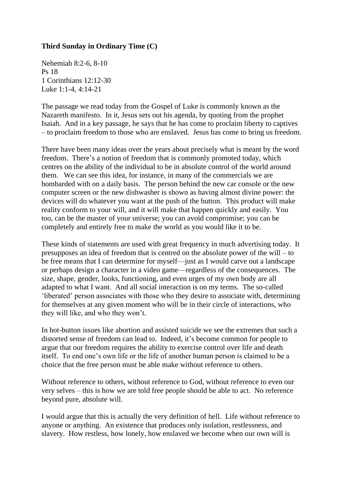## **Third Sunday in Ordinary Time (C)**

Nehemiah 8:2-6, 8-10 Ps 18 1 Corinthians 12:12-30 Luke 1:1-4, 4:14-21

The passage we read today from the Gospel of Luke is commonly known as the Nazareth manifesto. In it, Jesus sets out his agenda, by quoting from the prophet Isaiah. And in a key passage, he says that he has come to proclaim liberty to captives – to proclaim freedom to those who are enslaved. Jesus has come to bring us freedom.

There have been many ideas over the years about precisely what is meant by the word freedom. There's a notion of freedom that is commonly promoted today, which centres on the ability of the individual to be in absolute control of the world around them. We can see this idea, for instance, in many of the commercials we are bombarded with on a daily basis. The person behind the new car console or the new computer screen or the new dishwasher is shown as having almost divine power: the devices will do whatever you want at the push of the button. This product will make reality conform to your will, and it will make that happen quickly and easily. You too, can be the master of your universe; you can avoid compromise; you can be completely and entirely free to make the world as you would like it to be.

These kinds of statements are used with great frequency in much advertising today. It presupposes an idea of freedom that is centred on the absolute power of the will – to be free means that I can determine for myself—just as I would carve out a landscape or perhaps design a character in a video game—regardless of the consequences. The size, shape, gender, looks, functioning, and even urges of my own body are all adapted to what I want. And all social interaction is on my terms. The so-called 'liberated' person associates with those who they desire to associate with, determining for themselves at any given moment who will be in their circle of interactions, who they will like, and who they won't.

In hot-button issues like abortion and assisted suicide we see the extremes that such a distorted sense of freedom can lead to. Indeed, it's become common for people to argue that our freedom requires the ability to exercise control over life and death itself. To end one's own life or the life of another human person is claimed to be a choice that the free person must be able make without reference to others.

Without reference to others, without reference to God, without reference to even our very selves – this is how we are told free people should be able to act. No reference beyond pure, absolute will.

I would argue that this is actually the very definition of hell. Life without reference to anyone or anything. An existence that produces only isolation, restlessness, and slavery. How restless, how lonely, how enslaved we become when our own will is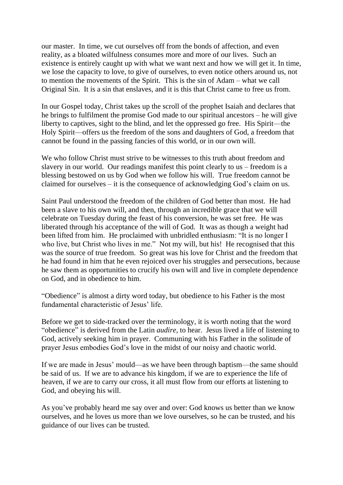our master. In time, we cut ourselves off from the bonds of affection, and even reality, as a bloated wilfulness consumes more and more of our lives. Such an existence is entirely caught up with what we want next and how we will get it. In time, we lose the capacity to love, to give of ourselves, to even notice others around us, not to mention the movements of the Spirit. This is the sin of Adam – what we call Original Sin. It is a sin that enslaves, and it is this that Christ came to free us from.

In our Gospel today, Christ takes up the scroll of the prophet Isaiah and declares that he brings to fulfilment the promise God made to our spiritual ancestors – he will give liberty to captives, sight to the blind, and let the oppressed go free. His Spirit—the Holy Spirit—offers us the freedom of the sons and daughters of God, a freedom that cannot be found in the passing fancies of this world, or in our own will.

We who follow Christ must strive to be witnesses to this truth about freedom and slavery in our world. Our readings manifest this point clearly to us – freedom is a blessing bestowed on us by God when we follow his will. True freedom cannot be claimed for ourselves – it is the consequence of acknowledging God's claim on us.

Saint Paul understood the freedom of the children of God better than most. He had been a slave to his own will, and then, through an incredible grace that we will celebrate on Tuesday during the feast of his conversion, he was set free. He was liberated through his acceptance of the will of God. It was as though a weight had been lifted from him. He proclaimed with unbridled enthusiasm: "It is no longer I who live, but Christ who lives in me." Not my will, but his! He recognised that this was the source of true freedom. So great was his love for Christ and the freedom that he had found in him that he even rejoiced over his struggles and persecutions, because he saw them as opportunities to crucify his own will and live in complete dependence on God, and in obedience to him.

"Obedience" is almost a dirty word today, but obedience to his Father is the most fundamental characteristic of Jesus' life.

Before we get to side-tracked over the terminology, it is worth noting that the word "obedience" is derived from the Latin *audire*, to hear. Jesus lived a life of listening to God, actively seeking him in prayer. Communing with his Father in the solitude of prayer Jesus embodies God's love in the midst of our noisy and chaotic world.

If we are made in Jesus' mould—as we have been through baptism—the same should be said of us. If we are to advance his kingdom, if we are to experience the life of heaven, if we are to carry our cross, it all must flow from our efforts at listening to God, and obeying his will.

As you've probably heard me say over and over: God knows us better than we know ourselves, and he loves us more than we love ourselves, so he can be trusted, and his guidance of our lives can be trusted.